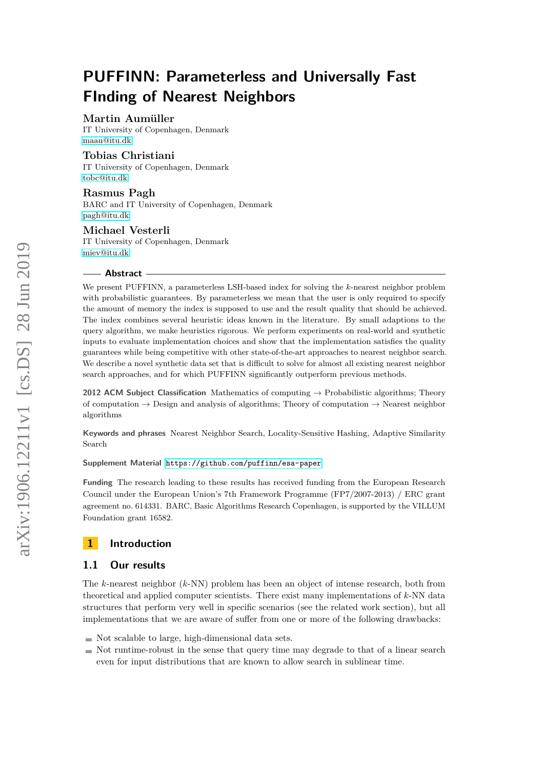# **Martin Aumüller**

IT University of Copenhagen, Denmark [maau@itu.dk](mailto:maau@itu.dk)

# **Tobias Christiani**

IT University of Copenhagen, Denmark [tobc@itu.dk](mailto:tobc@itu.dk)

# **Rasmus Pagh**

BARC and IT University of Copenhagen, Denmark [pagh@itu.dk](mailto:pagh@itu.dk)

# **Michael Vesterli**

IT University of Copenhagen, Denmark [miev@itu.dk](mailto:miev@itu.dk)

#### **Abstract**

We present PUFFINN, a parameterless LSH-based index for solving the *k*-nearest neighbor problem with probabilistic guarantees. By parameterless we mean that the user is only required to specify the amount of memory the index is supposed to use and the result quality that should be achieved. The index combines several heuristic ideas known in the literature. By small adaptions to the query algorithm, we make heuristics rigorous. We perform experiments on real-world and synthetic inputs to evaluate implementation choices and show that the implementation satisfies the quality guarantees while being competitive with other state-of-the-art approaches to nearest neighbor search. We describe a novel synthetic data set that is difficult to solve for almost all existing nearest neighbor search approaches, and for which PUFFINN significantly outperform previous methods.

**2012 ACM Subject Classification** Mathematics of computing → Probabilistic algorithms; Theory of computation  $\rightarrow$  Design and analysis of algorithms; Theory of computation  $\rightarrow$  Nearest neighbor algorithms

**Keywords and phrases** Nearest Neighbor Search, Locality-Sensitive Hashing, Adaptive Similarity Search

#### **Supplement Material** <https://github.com/puffinn/esa-paper>

**Funding** The research leading to these results has received funding from the European Research Council under the European Union's 7th Framework Programme (FP7/2007-2013) / ERC grant agreement no. 614331. BARC, Basic Algorithms Research Copenhagen, is supported by the VILLUM Foundation grant 16582.

# **1 Introduction**

# **1.1 Our results**

The *k*-nearest neighbor (*k*-NN) problem has been an object of intense research, both from theoretical and applied computer scientists. There exist many implementations of *k*-NN data structures that perform very well in specific scenarios (see the related work section), but all implementations that we are aware of suffer from one or more of the following drawbacks:

- $\blacksquare$  Not scalable to large, high-dimensional data sets.
- $\blacksquare$  Not runtime-robust in the sense that query time may degrade to that of a linear search even for input distributions that are known to allow search in sublinear time.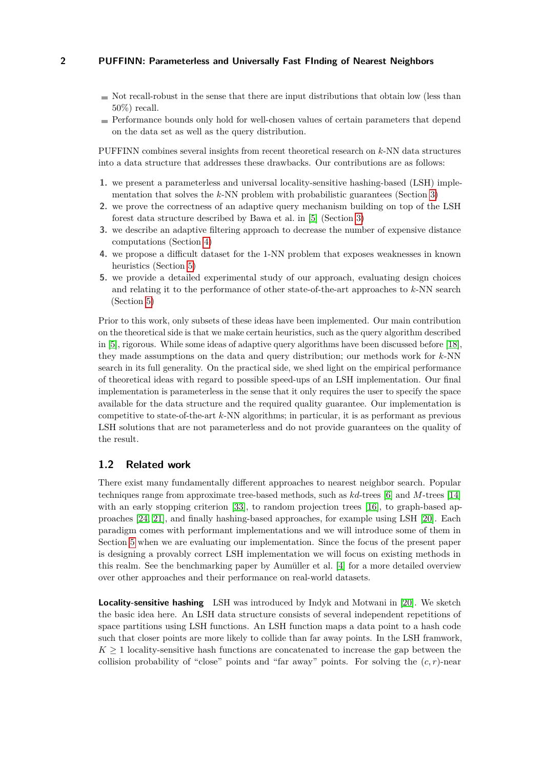- $\blacksquare$  Not recall-robust in the sense that there are input distributions that obtain low (less than 50%) recall.
- Performance bounds only hold for well-chosen values of certain parameters that depend on the data set as well as the query distribution.

PUFFINN combines several insights from recent theoretical research on *k*-NN data structures into a data structure that addresses these drawbacks. Our contributions are as follows:

- **1.** we present a parameterless and universal locality-sensitive hashing-based (LSH) implementation that solves the *k*-NN problem with probabilistic guarantees (Section [3\)](#page-4-0)
- **2.** we prove the correctness of an adaptive query mechanism building on top of the LSH forest data structure described by Bawa et al. in [\[5\]](#page-14-0) (Section [3\)](#page-4-0)
- **3.** we describe an adaptive filtering approach to decrease the number of expensive distance computations (Section [4\)](#page-7-0)
- **4.** we propose a difficult dataset for the 1-NN problem that exposes weaknesses in known heuristics (Section [5\)](#page-9-0)
- **5.** we provide a detailed experimental study of our approach, evaluating design choices and relating it to the performance of other state-of-the-art approaches to *k*-NN search (Section [5\)](#page-9-0)

Prior to this work, only subsets of these ideas have been implemented. Our main contribution on the theoretical side is that we make certain heuristics, such as the query algorithm described in [\[5\]](#page-14-0), rigorous. While some ideas of adaptive query algorithms have been discussed before [\[18\]](#page-15-0), they made assumptions on the data and query distribution; our methods work for *k*-NN search in its full generality. On the practical side, we shed light on the empirical performance of theoretical ideas with regard to possible speed-ups of an LSH implementation. Our final implementation is parameterless in the sense that it only requires the user to specify the space available for the data structure and the required quality guarantee. Our implementation is competitive to state-of-the-art *k*-NN algorithms; in particular, it is as performant as previous LSH solutions that are not parameterless and do not provide guarantees on the quality of the result.

# **1.2 Related work**

There exist many fundamentally different approaches to nearest neighbor search. Popular techniques range from approximate tree-based methods, such as *kd*-trees [\[6\]](#page-15-1) and *M*-trees [\[14\]](#page-15-2) with an early stopping criterion [\[33\]](#page-16-0), to random projection trees [\[16\]](#page-15-3), to graph-based approaches [\[24,](#page-15-4) [21\]](#page-15-5), and finally hashing-based approaches, for example using LSH [\[20\]](#page-15-6). Each paradigm comes with performant implementations and we will introduce some of them in Section [5](#page-9-0) when we are evaluating our implementation. Since the focus of the present paper is designing a provably correct LSH implementation we will focus on existing methods in this realm. See the benchmarking paper by Aumüller et al. [\[4\]](#page-14-1) for a more detailed overview over other approaches and their performance on real-world datasets.

**Locality-sensitive hashing** LSH was introduced by Indyk and Motwani in [\[20\]](#page-15-6). We sketch the basic idea here. An LSH data structure consists of several independent repetitions of space partitions using LSH functions. An LSH function maps a data point to a hash code such that closer points are more likely to collide than far away points. In the LSH framwork,  $K \geq 1$  locality-sensitive hash functions are concatenated to increase the gap between the collision probability of "close" points and "far away" points. For solving the  $(c, r)$ -near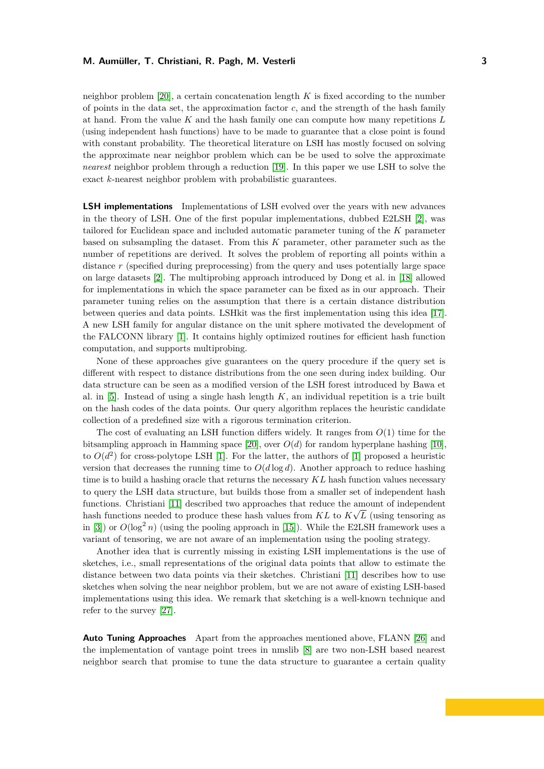neighbor problem [\[20\]](#page-15-6), a certain concatenation length *K* is fixed according to the number of points in the data set, the approximation factor  $c$ , and the strength of the hash family at hand. From the value *K* and the hash family one can compute how many repetitions *L* (using independent hash functions) have to be made to guarantee that a close point is found with constant probability. The theoretical literature on LSH has mostly focused on solving the approximate near neighbor problem which can be be used to solve the approximate *nearest* neighbor problem through a reduction [\[19\]](#page-15-7). In this paper we use LSH to solve the exact *k*-nearest neighbor problem with probabilistic guarantees.

**LSH implementations** Implementations of LSH evolved over the years with new advances in the theory of LSH. One of the first popular implementations, dubbed E2LSH [\[2\]](#page-14-2), was tailored for Euclidean space and included automatic parameter tuning of the *K* parameter based on subsampling the dataset. From this *K* parameter, other parameter such as the number of repetitions are derived. It solves the problem of reporting all points within a distance *r* (specified during preprocessing) from the query and uses potentially large space on large datasets [\[2\]](#page-14-2). The multiprobing approach introduced by Dong et al. in [\[18\]](#page-15-0) allowed for implementations in which the space parameter can be fixed as in our approach. Their parameter tuning relies on the assumption that there is a certain distance distribution between queries and data points. LSHkit was the first implementation using this idea [\[17\]](#page-15-8). A new LSH family for angular distance on the unit sphere motivated the development of the FALCONN library [\[1\]](#page-14-3). It contains highly optimized routines for efficient hash function computation, and supports multiprobing.

None of these approaches give guarantees on the query procedure if the query set is different with respect to distance distributions from the one seen during index building. Our data structure can be seen as a modified version of the LSH forest introduced by Bawa et al. in  $[5]$ . Instead of using a single hash length  $K$ , an individual repetition is a trie built on the hash codes of the data points. Our query algorithm replaces the heuristic candidate collection of a predefined size with a rigorous termination criterion.

The cost of evaluating an LSH function differs widely. It ranges from *O*(1) time for the bitsampling approach in Hamming space [\[20\]](#page-15-6), over  $O(d)$  for random hyperplane hashing [\[10\]](#page-15-9), to  $O(d^2)$  for cross-polytope LSH [\[1\]](#page-14-3). For the latter, the authors of [1] proposed a heuristic version that decreases the running time to  $O(d \log d)$ . Another approach to reduce hashing time is to build a hashing oracle that returns the necessary *KL* hash function values necessary to query the LSH data structure, but builds those from a smaller set of independent hash functions. Christiani [\[11\]](#page-15-10) described two approaches that reduce the amount of independent hash functions needed to produce these hash values from  $KL$  to  $K\sqrt{L}$  (using tensoring as in [\[3\]](#page-14-4)) or  $O(\log^2 n)$  (using the pooling approach in [\[15\]](#page-15-11)). While the E2LSH framework uses a variant of tensoring, we are not aware of an implementation using the pooling strategy.

Another idea that is currently missing in existing LSH implementations is the use of sketches, i.e., small representations of the original data points that allow to estimate the distance between two data points via their sketches. Christiani [\[11\]](#page-15-10) describes how to use sketches when solving the near neighbor problem, but we are not aware of existing LSH-based implementations using this idea. We remark that sketching is a well-known technique and refer to the survey [\[27\]](#page-15-12).

**Auto Tuning Approaches** Apart from the approaches mentioned above, FLANN [\[26\]](#page-15-13) and the implementation of vantage point trees in nmslib [\[8\]](#page-15-14) are two non-LSH based nearest neighbor search that promise to tune the data structure to guarantee a certain quality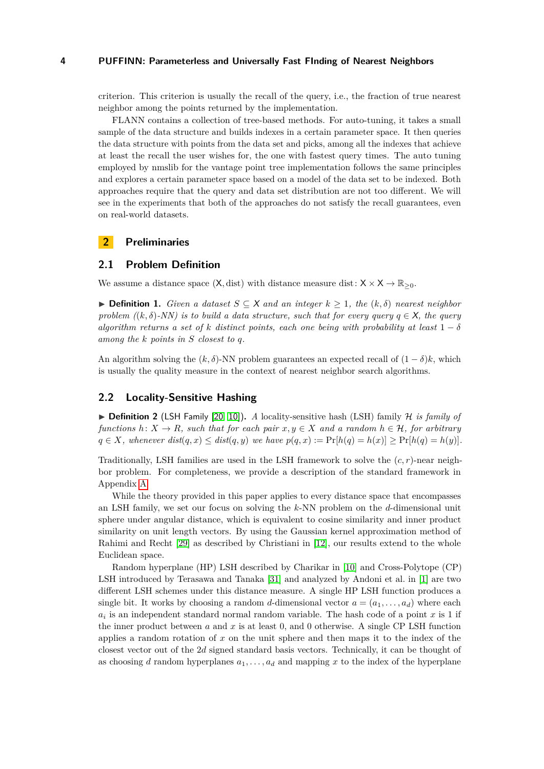criterion. This criterion is usually the recall of the query, i.e., the fraction of true nearest neighbor among the points returned by the implementation.

FLANN contains a collection of tree-based methods. For auto-tuning, it takes a small sample of the data structure and builds indexes in a certain parameter space. It then queries the data structure with points from the data set and picks, among all the indexes that achieve at least the recall the user wishes for, the one with fastest query times. The auto tuning employed by nmslib for the vantage point tree implementation follows the same principles and explores a certain parameter space based on a model of the data set to be indexed. Both approaches require that the query and data set distribution are not too different. We will see in the experiments that both of the approaches do not satisfy the recall guarantees, even on real-world datasets.

# <span id="page-3-1"></span>**2 Preliminaries**

#### **2.1 Problem Definition**

We assume a distance space  $(X, dist)$  with distance measure dist:  $X \times X \to \mathbb{R}_{\geq 0}$ .

**► Definition 1.** *Given a dataset*  $S \subseteq X$  *and an integer*  $k \geq 1$ *, the*  $(k, \delta)$  *nearest neighbor problem (* $(k, \delta)$ *-NN) is to build a data structure, such that for every query*  $q \in X$ , the query *algorithm returns a set of k distinct points, each one being with probability at least*  $1 - \delta$ *among the k points in S closest to q.*

An algorithm solving the  $(k, \delta)$ -NN problem guarantees an expected recall of  $(1 - \delta)k$ , which is usually the quality measure in the context of nearest neighbor search algorithms.

# **2.2 Locality-Sensitive Hashing**

<span id="page-3-0"></span> $\triangleright$  **Definition 2** (LSH Family [\[20,](#page-15-6) [10\]](#page-15-9)). *A* locality-sensitive hash (LSH) family *H is family of functions*  $h: X \to R$ *, such that for each pair*  $x, y \in X$  *and a random*  $h \in H$ *, for arbitrary*  $q \in X$ , whenever  $dist(q, x) \leq dist(q, y)$  we have  $p(q, x) := Pr[h(q) = h(x)] \geq Pr[h(q) = h(y)]$ .

Traditionally, LSH families are used in the LSH framework to solve the (*c, r*)-near neighbor problem. For completeness, we provide a description of the standard framework in Appendix [A.](#page-16-1)

While the theory provided in this paper applies to every distance space that encompasses an LSH family, we set our focus on solving the *k*-NN problem on the *d*-dimensional unit sphere under angular distance, which is equivalent to cosine similarity and inner product similarity on unit length vectors. By using the Gaussian kernel approximation method of Rahimi and Recht [\[29\]](#page-16-2) as described by Christiani in [\[12\]](#page-15-15), our results extend to the whole Euclidean space.

Random hyperplane (HP) LSH described by Charikar in [\[10\]](#page-15-9) and Cross-Polytope (CP) LSH introduced by Terasawa and Tanaka [\[31\]](#page-16-3) and analyzed by Andoni et al. in [\[1\]](#page-14-3) are two different LSH schemes under this distance measure. A single HP LSH function produces a single bit. It works by choosing a random *d*-dimensional vector  $a = (a_1, \ldots, a_d)$  where each  $a_i$  is an independent standard normal random variable. The hash code of a point  $x$  is 1 if the inner product between *a* and *x* is at least 0, and 0 otherwise. A single CP LSH function applies a random rotation of *x* on the unit sphere and then maps it to the index of the closest vector out of the 2*d* signed standard basis vectors. Technically, it can be thought of as choosing *d* random hyperplanes  $a_1, \ldots, a_d$  and mapping *x* to the index of the hyperplane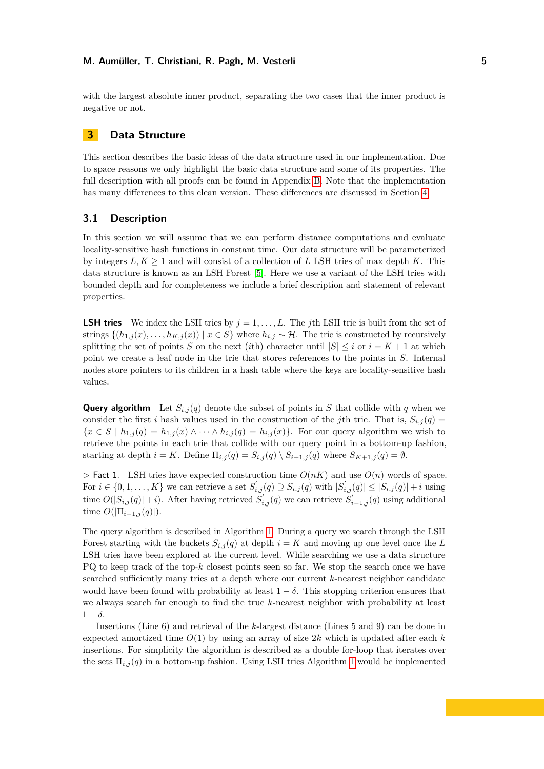with the largest absolute inner product, separating the two cases that the inner product is negative or not.

# <span id="page-4-0"></span>**3 Data Structure**

This section describes the basic ideas of the data structure used in our implementation. Due to space reasons we only highlight the basic data structure and some of its properties. The full description with all proofs can be found in Appendix [B.](#page-17-0) Note that the implementation has many differences to this clean version. These differences are discussed in Section [4.](#page-7-0)

# **3.1 Description**

In this section we will assume that we can perform distance computations and evaluate locality-sensitive hash functions in constant time. Our data structure will be parameterized by integers  $L, K \geq 1$  and will consist of a collection of *L* LSH tries of max depth *K*. This data structure is known as an LSH Forest [\[5\]](#page-14-0). Here we use a variant of the LSH tries with bounded depth and for completeness we include a brief description and statement of relevant properties.

**LSH tries** We index the LSH tries by  $j = 1, \ldots, L$ . The *j*th LSH trie is built from the set of strings  $\{(h_{1,j}(x),...,h_{K,j}(x)) \mid x \in S\}$  where  $h_{i,j} \sim \mathcal{H}$ . The trie is constructed by recursively splitting the set of points *S* on the next (*i*th) character until  $|S| \le i$  or  $i = K + 1$  at which point we create a leaf node in the trie that stores references to the points in *S*. Internal nodes store pointers to its children in a hash table where the keys are locality-sensitive hash values.

**Query algorithm** Let  $S_{i,j}(q)$  denote the subset of points in *S* that collide with *q* when we consider the first *i* hash values used in the construction of the *j*th trie. That is,  $S_{i,j}(q)$  ${x \in S \mid h_{1,j}(q) = h_{1,j}(x) \land \cdots \land h_{i,j}(q) = h_{i,j}(x)}$ . For our query algorithm we wish to retrieve the points in each trie that collide with our query point in a bottom-up fashion, starting at depth  $i = K$ . Define  $\Pi_{i,j}(q) = S_{i,j}(q) \setminus S_{i+1,j}(q)$  where  $S_{K+1,j}(q) = \emptyset$ .

<span id="page-4-1"></span> $\triangleright$  Fact 1. LSH tries have expected construction time  $O(nK)$  and use  $O(n)$  words of space. For  $i \in \{0, 1, \ldots, K\}$  we can retrieve a set  $S'_{i,j}(q) \supseteq S_{i,j}(q)$  with  $|S'_{i,j}(q)| \leq |S_{i,j}(q)| + i$  using  $O(|S_{i,j}(q)|+i)$ . After having retrieved  $S'_{i,j}(q)$  we can retrieve  $S'_{i-1,j}(q)$  using additional time  $O(|\Pi_{i-1,j}(q)|)$ .

The query algorithm is described in Algorithm [1.](#page-5-0) During a query we search through the LSH Forest starting with the buckets  $S_{i,j}(q)$  at depth  $i = K$  and moving up one level once the *L* LSH tries have been explored at the current level. While searching we use a data structure PQ to keep track of the top-*k* closest points seen so far. We stop the search once we have searched sufficiently many tries at a depth where our current *k*-nearest neighbor candidate would have been found with probability at least  $1 - \delta$ . This stopping criterion ensures that we always search far enough to find the true *k*-nearest neighbor with probability at least  $1 - \delta$ .

Insertions (Line 6) and retrieval of the *k*-largest distance (Lines 5 and 9) can be done in expected amortized time  $O(1)$  by using an array of size 2k which is updated after each  $k$ insertions. For simplicity the algorithm is described as a double for-loop that iterates over the sets  $\Pi_{i,j}(q)$  in a bottom-up fashion. Using LSH tries Algorithm [1](#page-5-0) would be implemented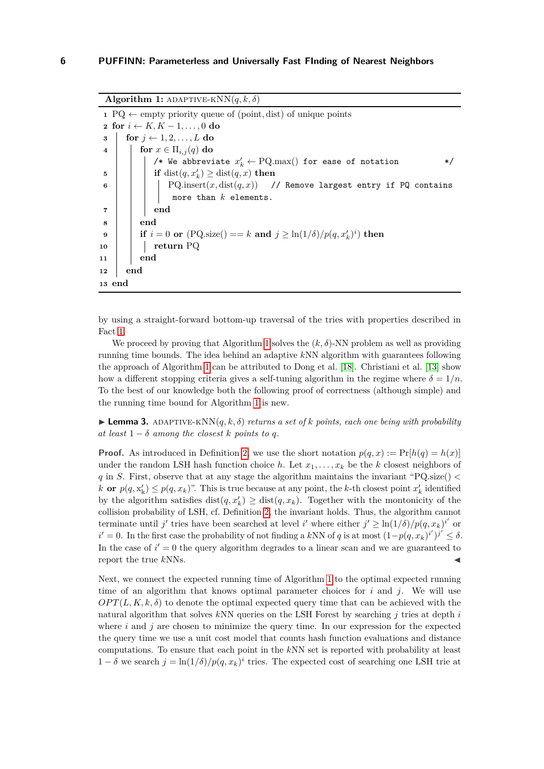**Algorithm 1:** ADAPTIVE-KNN $(q, k, \delta)$ **<sup>1</sup>** PQ ← empty priority queue of (point*,* dist) of unique points **2 for**  $i \leftarrow K$ ,  $K - 1, \ldots, 0$  **do 3 for**  $j \leftarrow 1, 2, \ldots, L$  **do 4 for**  $x \in \Pi_{i,j}(q)$  **do**  $\mathscr{C}*$  We abbreviate  $x'_k \leftarrow \text{PQ.max}()$  for ease of notation  $\ast \mathscr{C}$  $\textbf{5}$  **if** dist $(q, x'_k) \geq \text{dist}(q, x)$  **then 6 PQ.insert** $(x, dist(q, x))$  // Remove largest entry if PQ contains more than *k* elements. **7 end 8 end**  $\textbf{p}$   $\textbf{p}$   $\textbf{p}$   $\textbf{p}$   $\textbf{p}$   $\textbf{p}$   $\textbf{p}$   $\textbf{p}$   $\textbf{p}$   $\textbf{p}$   $\textbf{p}$   $\textbf{p}$   $\textbf{p}$   $\textbf{p}$   $\textbf{p}$   $\textbf{p}$   $\textbf{p}$   $\textbf{p}$   $\textbf{p}$   $\textbf{p}$   $\textbf{p}$   $\textbf{p}$   $\textbf{p}$   $\textbf{p}$   $\textbf{$ **<sup>10</sup> return** PQ **11 end 12 end 13 end**

<span id="page-5-0"></span>by using a straight-forward bottom-up traversal of the tries with properties described in Fact [1.](#page-4-1)

We proceed by proving that Algorithm [1](#page-5-0) solves the  $(k, \delta)$ -NN problem as well as providing running time bounds. The idea behind an adaptive *k*NN algorithm with guarantees following the approach of Algorithm [1](#page-5-0) can be attributed to Dong et al. [\[18\]](#page-15-0). Christiani et al. [\[13\]](#page-15-16) show how a different stopping criteria gives a self-tuning algorithm in the regime where  $\delta = 1/n$ . To the best of our knowledge both the following proof of correctness (although simple) and the running time bound for Algorithm [1](#page-5-0) is new.

**Lemma 3.** ADAPTIVE-KNN $(q, k, \delta)$  *returns a set of k points, each one being with probability at least*  $1 - \delta$  *among the closest k points to q*.

**Proof.** As introduced in Definition [2,](#page-3-0) we use the short notation  $p(q, x) := Pr[h(q) = h(x)]$ under the random LSH hash function choice *h*. Let  $x_1, \ldots, x_k$  be the *k* closest neighbors of *q* in *S*. First, observe that at any stage the algorithm maintains the invariant "PQ*.*size() *< k* **or**  $p(q, x'_{k}) \leq p(q, x_{k})$ ". This is true because at any point, the *k*-th closest point  $x'_{k}$  identified by the algorithm satisfies  $dist(q, x'_k) \geq dist(q, x_k)$ . Together with the montonicity of the collision probability of LSH, cf. Definition [2,](#page-3-0) the invariant holds. Thus, the algorithm cannot terminate until *j'* tries have been searched at level *i'* where either  $j' \geq \ln(1/\delta)/p(q, x_k)^{i'}$  or  $i' = 0$ . In the first case the probability of not finding a kNN of *q* is at most  $(1-p(q, x_k)^{i'})^{j'}$  ≤ δ. In the case of  $i' = 0$  the query algorithm degrades to a linear scan and we are guaranteed to report the true  $kNNs$ .

Next, we connect the expected running time of Algorithm [1](#page-5-0) to the optimal expected running time of an algorithm that knows optimal parameter choices for  $i$  and  $j$ . We will use  $OPT(L, K, k, \delta)$  to denote the optimal expected query time that can be achieved with the natural algorithm that solves *k*NN queries on the LSH Forest by searching *j* tries at depth *i* where  $i$  and  $j$  are chosen to minimize the query time. In our expression for the expected the query time we use a unit cost model that counts hash function evaluations and distance computations. To ensure that each point in the *k*NN set is reported with probability at least 1 − *δ* we search  $j = \ln(1/\delta)/p(q, x_k)^i$  tries. The expected cost of searching one LSH trie at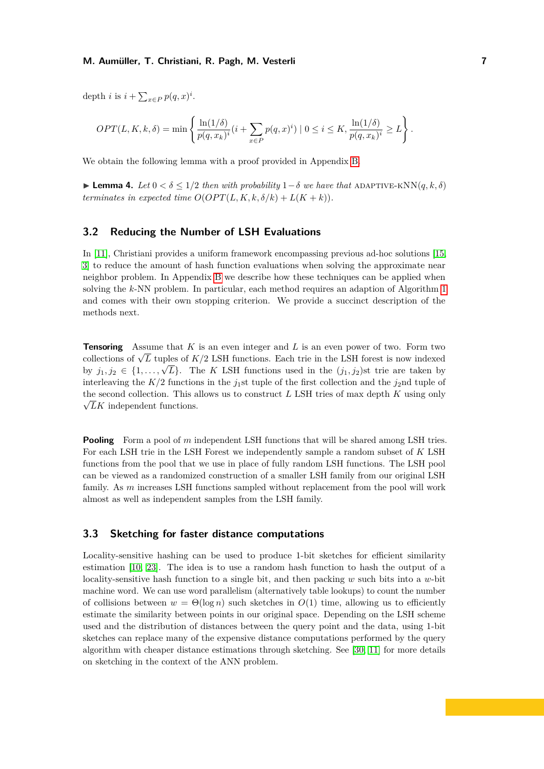depth *i* is  $i + \sum_{x \in P} p(q, x)^i$ .

$$
OPT(L, K, k, \delta) = \min \left\{ \frac{\ln(1/\delta)}{p(q, x_k)^i} (i + \sum_{x \in P} p(q, x)^i) \mid 0 \le i \le K, \frac{\ln(1/\delta)}{p(q, x_k)^i} \ge L \right\}.
$$

<span id="page-6-0"></span>We obtain the following lemma with a proof provided in Appendix [B.](#page-17-0)

**Lemma 4.** *Let*  $0 < \delta < 1/2$  *then with probability*  $1-\delta$  *we have that* ADAPTIVE-KNN( $q, k, \delta$ ) *terminates in expected time*  $O(OPT(L, K, k, \delta/k) + L(K + k)).$ 

# **3.2 Reducing the Number of LSH Evaluations**

In [\[11\]](#page-15-10), Christiani provides a uniform framework encompassing previous ad-hoc solutions [\[15,](#page-15-11) [3\]](#page-14-4) to reduce the amount of hash function evaluations when solving the approximate near neighbor problem. In Appendix [B](#page-17-0) we describe how these techniques can be applied when solving the *k*-NN problem. In particular, each method requires an adaption of Algorithm [1](#page-5-0) and comes with their own stopping criterion. We provide a succinct description of the methods next.

**Tensoring** Assume that *K* is an even integer and *L* is an even power of two. Form two **Tensoring** Assume that A is an even integer and L is an even power of two. Form two collections of  $\sqrt{L}$  tuples of  $K/2$  LSH functions. Each trie in the LSH forest is now indexed by  $j_1, j_2 \in \{1, \ldots, \sqrt{L}\}$ . The *K* LSH functions used in the  $(j_1, j_2)$ st trie are taken by interleaving the  $K/2$  functions in the *j*<sub>1</sub>st tuple of the first collection and the *j*<sub>2</sub>nd tuple of the second collection. This allows us to construct *L* LSH tries of max depth *K* using only  $\sqrt{L}K$  independent functions.

**Pooling** Form a pool of *m* independent LSH functions that will be shared among LSH tries. For each LSH trie in the LSH Forest we independently sample a random subset of *K* LSH functions from the pool that we use in place of fully random LSH functions. The LSH pool can be viewed as a randomized construction of a smaller LSH family from our original LSH family. As *m* increases LSH functions sampled without replacement from the pool will work almost as well as independent samples from the LSH family.

# **3.3 Sketching for faster distance computations**

Locality-sensitive hashing can be used to produce 1-bit sketches for efficient similarity estimation [\[10,](#page-15-9) [23\]](#page-15-17). The idea is to use a random hash function to hash the output of a locality-sensitive hash function to a single bit, and then packing *w* such bits into a *w*-bit machine word. We can use word parallelism (alternatively table lookups) to count the number of collisions between  $w = \Theta(\log n)$  such sketches in  $O(1)$  time, allowing us to efficiently estimate the similarity between points in our original space. Depending on the LSH scheme used and the distribution of distances between the query point and the data, using 1-bit sketches can replace many of the expensive distance computations performed by the query algorithm with cheaper distance estimations through sketching. See [\[30,](#page-16-4) [11\]](#page-15-10) for more details on sketching in the context of the ANN problem.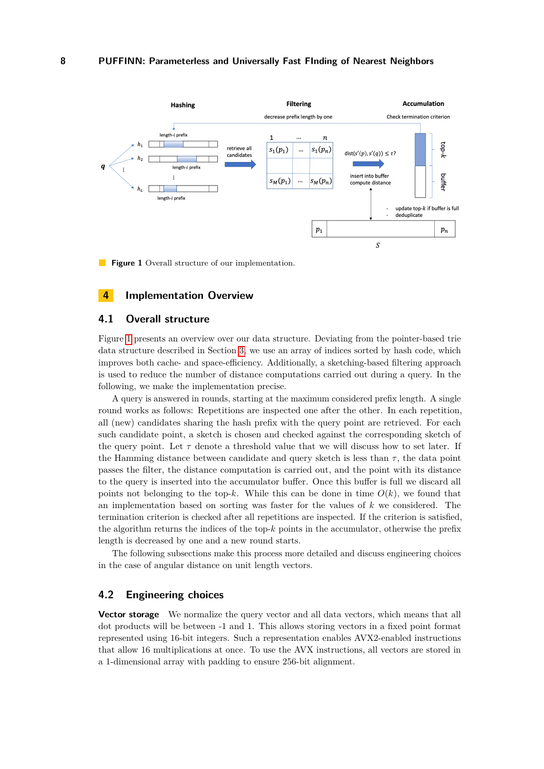<span id="page-7-1"></span>

**Figure 1** Overall structure of our implementation.

# <span id="page-7-0"></span>**4 Implementation Overview**

# **4.1 Overall structure**

Figure [1](#page-7-1) presents an overview over our data structure. Deviating from the pointer-based trie data structure described in Section [3,](#page-4-0) we use an array of indices sorted by hash code, which improves both cache- and space-efficiency. Additionally, a sketching-based filtering approach is used to reduce the number of distance computations carried out during a query. In the following, we make the implementation precise.

A query is answered in rounds, starting at the maximum considered prefix length. A single round works as follows: Repetitions are inspected one after the other. In each repetition, all (new) candidates sharing the hash prefix with the query point are retrieved. For each such candidate point, a sketch is chosen and checked against the corresponding sketch of the query point. Let  $\tau$  denote a threshold value that we will discuss how to set later. If the Hamming distance between candidate and query sketch is less than  $\tau$ , the data point passes the filter, the distance computation is carried out, and the point with its distance to the query is inserted into the accumulator buffer. Once this buffer is full we discard all points not belonging to the top- $k$ . While this can be done in time  $O(k)$ , we found that an implementation based on sorting was faster for the values of *k* we considered. The termination criterion is checked after all repetitions are inspected. If the criterion is satisfied, the algorithm returns the indices of the top-*k* points in the accumulator, otherwise the prefix length is decreased by one and a new round starts.

The following subsections make this process more detailed and discuss engineering choices in the case of angular distance on unit length vectors.

# **4.2 Engineering choices**

**Vector storage** We normalize the query vector and all data vectors, which means that all dot products will be between -1 and 1. This allows storing vectors in a fixed point format represented using 16-bit integers. Such a representation enables AVX2-enabled instructions that allow 16 multiplications at once. To use the AVX instructions, all vectors are stored in a 1-dimensional array with padding to ensure 256-bit alignment.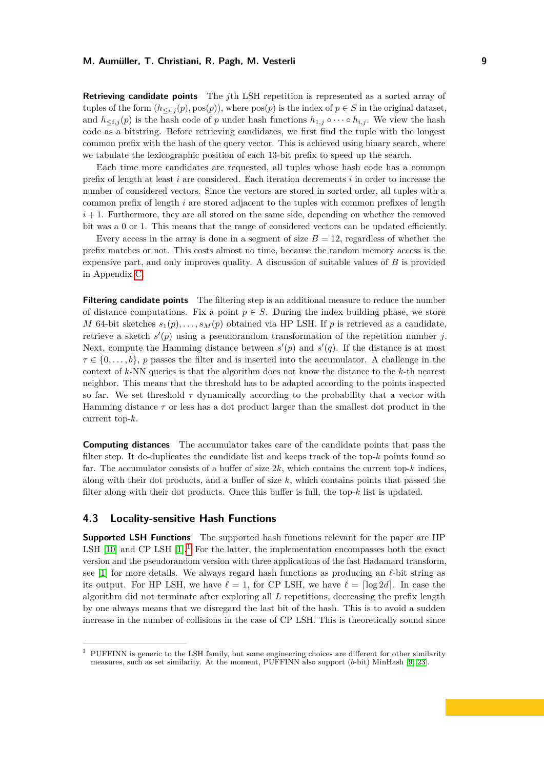**Retrieving candidate points** The *j*th LSH repetition is represented as a sorted array of tuples of the form  $(h<sub>*i,j*</sub>(p), pos(p))$ , where  $pos(p)$  is the index of  $p \in S$  in the original dataset, and  $h_{\leq i,j}(p)$  is the hash code of *p* under hash functions  $h_{1,j} \circ \cdots \circ h_{i,j}$ . We view the hash code as a bitstring. Before retrieving candidates, we first find the tuple with the longest common prefix with the hash of the query vector. This is achieved using binary search, where we tabulate the lexicographic position of each 13-bit prefix to speed up the search.

Each time more candidates are requested, all tuples whose hash code has a common prefix of length at least *i* are considered. Each iteration decrements *i* in order to increase the number of considered vectors. Since the vectors are stored in sorted order, all tuples with a common prefix of length *i* are stored adjacent to the tuples with common prefixes of length  $i+1$ . Furthermore, they are all stored on the same side, depending on whether the removed bit was a 0 or 1. This means that the range of considered vectors can be updated efficiently.

Every access in the array is done in a segment of size  $B = 12$ , regardless of whether the prefix matches or not. This costs almost no time, because the random memory access is the expensive part, and only improves quality. A discussion of suitable values of *B* is provided in Appendix [C.](#page-19-0)

**Filtering candidate points** The filtering step is an additional measure to reduce the number of distance computations. Fix a point  $p \in S$ . During the index building phase, we store *M* 64-bit sketches  $s_1(p), \ldots, s_M(p)$  obtained via HP LSH. If *p* is retrieved as a candidate, retrieve a sketch  $s'(p)$  using a pseudorandom transformation of the repetition number *j*. Next, compute the Hamming distance between  $s'(p)$  and  $s'(q)$ . If the distance is at most  $\tau \in \{0, \ldots, b\}$ , *p* passes the filter and is inserted into the accumulator. A challenge in the context of *k*-NN queries is that the algorithm does not know the distance to the *k*-th nearest neighbor. This means that the threshold has to be adapted according to the points inspected so far. We set threshold  $\tau$  dynamically according to the probability that a vector with Hamming distance *τ* or less has a dot product larger than the smallest dot product in the current top-*k*.

**Computing distances** The accumulator takes care of the candidate points that pass the filter step. It de-duplicates the candidate list and keeps track of the top-*k* points found so far. The accumulator consists of a buffer of size  $2k$ , which contains the current top- $k$  indices. along with their dot products, and a buffer of size *k*, which contains points that passed the filter along with their dot products. Once this buffer is full, the top-*k* list is updated.

# **4.3 Locality-sensitive Hash Functions**

**Supported LSH Functions** The supported hash functions relevant for the paper are HP LSH  $[10]$  and CP LSH  $[1]$ <sup>[1](#page-8-0)</sup>. For the latter, the implementation encompasses both the exact version and the pseudorandom version with three applications of the fast Hadamard transform, see [\[1\]](#page-14-3) for more details. We always regard hash functions as producing an  $\ell$ -bit string as its output. For HP LSH, we have  $\ell = 1$ , for CP LSH, we have  $\ell = \lceil \log 2d \rceil$ . In case the algorithm did not terminate after exploring all *L* repetitions, decreasing the prefix length by one always means that we disregard the last bit of the hash. This is to avoid a sudden increase in the number of collisions in the case of CP LSH. This is theoretically sound since

<span id="page-8-0"></span><sup>1</sup> PUFFINN is generic to the LSH family, but some engineering choices are different for other similarity measures, such as set similarity. At the moment, PUFFINN also support (*b*-bit) MinHash [\[9,](#page-15-18) [23\]](#page-15-17).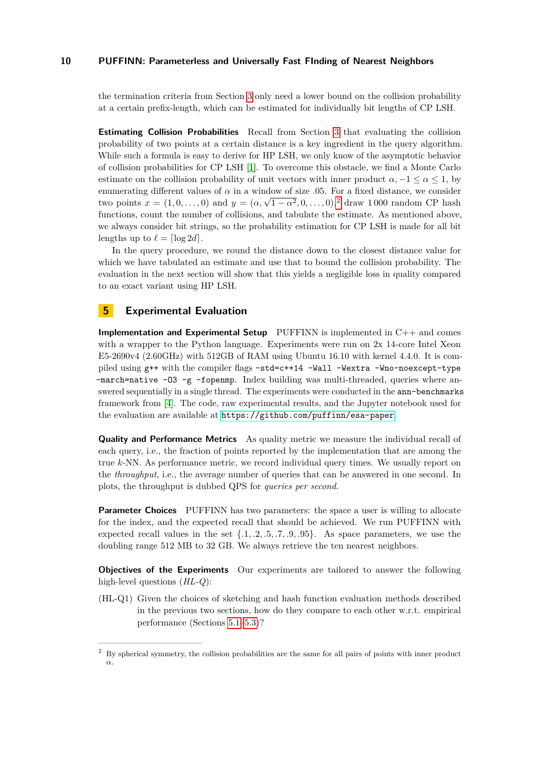the termination criteria from Section [3](#page-4-0) only need a lower bound on the collision probability at a certain prefix-length, which can be estimated for individually bit lengths of CP LSH.

**Estimating Collision Probabilities** Recall from Section [3](#page-4-0) that evaluating the collision probability of two points at a certain distance is a key ingredient in the query algorithm. While such a formula is easy to derive for HP LSH, we only know of the asymptotic behavior of collision probabilities for CP LSH [\[1\]](#page-14-3). To overcome this obstacle, we find a Monte Carlo estimate on the collision probability of unit vectors with inner product  $\alpha$ ,  $-1 \leq \alpha \leq 1$ , by enumerating different values of  $\alpha$  in a window of size .05. For a fixed distance, we consider two points  $x = (1, 0, \ldots, 0)$  and  $y = (\alpha, \sqrt{1 - \alpha^2}, 0, \ldots, 0)^2$  $y = (\alpha, \sqrt{1 - \alpha^2}, 0, \ldots, 0)^2$  $y = (\alpha, \sqrt{1 - \alpha^2}, 0, \ldots, 0)^2$  draw 1 000 random CP hash functions, count the number of collisions, and tabulate the estimate. As mentioned above, we always consider bit strings, so the probability estimation for CP LSH is made for all bit lengths up to  $\ell = \lceil \log 2d \rceil$ .

In the query procedure, we round the distance down to the closest distance value for which we have tabulated an estimate and use that to bound the collision probability. The evaluation in the next section will show that this yields a negligible loss in quality compared to an exact variant using HP LSH.

# <span id="page-9-0"></span>**5 Experimental Evaluation**

**Implementation and Experimental Setup** PUFFINN is implemented in C++ and comes with a wrapper to the Python language. Experiments were run on 2x 14-core Intel Xeon  $E5-2690v4$  (2.60GHz) with 512GB of RAM using Ubuntu 16.10 with kernel 4.4.0. It is compiled using g++ with the compiler flags -std=c++14 -Wall -Wextra -Wno-noexcept-type  $-$ march=native  $-03$   $-g$   $-$ fopenmp. Index building was multi-threaded, queries where answered sequentially in a single thread. The experiments were conducted in the ann-benchmarks framework from [\[4\]](#page-14-1). The code, raw experimental results, and the Jupyter notebook used for the evaluation are available at <https://github.com/puffinn/esa-paper>.

**Quality and Performance Metrics** As quality metric we measure the individual recall of each query, i.e., the fraction of points reported by the implementation that are among the true *k*-NN. As performance metric, we record individual query times. We usually report on the *throughput*, i.e., the average number of queries that can be answered in one second. In plots, the throughput is dubbed QPS for *queries per second*.

**Parameter Choices** PUFFINN has two parameters: the space a user is willing to allocate for the index, and the expected recall that should be achieved. We run PUFFINN with expected recall values in the set {*.*1*, .*2*, .*5*, .*7*, .*9*, .*95}. As space parameters, we use the doubling range 512 MB to 32 GB. We always retrieve the ten nearest neighbors.

**Objectives of the Experiments** Our experiments are tailored to answer the following high-level questions (*HL-Q*):

(HL-Q1) Given the choices of sketching and hash function evaluation methods described in the previous two sections, how do they compare to each other w.r.t. empirical performance (Sections [5.1–](#page-11-0)[5.3\)](#page-12-0)?

<span id="page-9-1"></span><sup>&</sup>lt;sup>2</sup> By spherical symmetry, the collision probabilities are the same for all pairs of points with inner product *α*.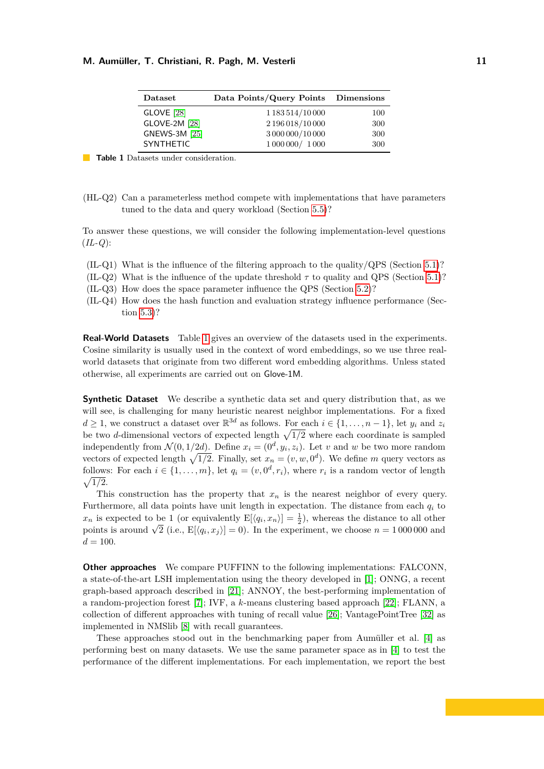<span id="page-10-0"></span>

| $\mathbf{Database}$  | Data Points/Query Points Dimensions |     |
|----------------------|-------------------------------------|-----|
| <b>GLOVE</b> [28]    | 1 183 514/10 000                    | 100 |
| <b>GLOVE-2M [28]</b> | 2 196 018/10 000                    | 300 |
| <b>GNEWS-3M [25]</b> | 3 000 000/10 000                    | 300 |
| <b>SYNTHETIC</b>     | 1 000 000 / 1 000                   | 300 |

**Table 1** Datasets under consideration.

(HL-Q2) Can a parameterless method compete with implementations that have parameters tuned to the data and query workload (Section [5.5\)](#page-13-0)?

To answer these questions, we will consider the following implementation-level questions (*IL-Q*):

- $(IL-Q1)$  What is the influence of the filtering approach to the quality/QPS (Section [5.1\)](#page-11-0)?
- (IL-Q2) What is the influence of the update threshold  $\tau$  to quality and QPS (Section [5.1\)](#page-11-0)?
- (IL-Q3) How does the space parameter influence the QPS (Section [5.2\)](#page-12-1)?
- (IL-Q4) How does the hash function and evaluation strategy influence performance (Section [5.3\)](#page-12-0)?

**Real-World Datasets** Table [1](#page-10-0) gives an overview of the datasets used in the experiments. Cosine similarity is usually used in the context of word embeddings, so we use three realworld datasets that originate from two different word embedding algorithms. Unless stated otherwise, all experiments are carried out on Glove-1M.

**Synthetic Dataset** We describe a synthetic data set and query distribution that, as we will see, is challenging for many heuristic nearest neighbor implementations. For a fixed  $d \geq 1$ , we construct a dataset over  $\mathbb{R}^{3d}$  as follows. For each  $i \in \{1, \ldots, n-1\}$ , let  $y_i$  and  $z_i$ be two *d*-dimensional vectors of expected length  $\sqrt{1/2}$  where each coordinate is sampled independently from  $\mathcal{N}(0, 1/2d)$ . Define  $x_i = (0^d, y_i, z_i)$ . Let *v* and *w* be two more random vectors of expected length  $\sqrt{1/2}$ . Finally, set  $x_n = (v, w, 0^d)$ . We define *m* query vectors as follows: For each  $i \in \{1, \ldots, m\}$ , let  $q_i = (v, 0^d, r_i)$ , where  $r_i$  is a random vector of length  $\sqrt{1/2}$ .

This construction has the property that *x<sup>n</sup>* is the nearest neighbor of every query. Furthermore, all data points have unit length in expectation. The distance from each  $q_i$  to  $x_n$  is expected to be 1 (or equivalently  $E[\langle q_i, x_n \rangle] = \frac{1}{2}$ ), whereas the distance to all other  $x_n$  is expected to be 1 (or equivalently  $E[\langle q_i, x_n \rangle] = \frac{1}{2}$ ), whereas the distance to an other points is around  $\sqrt{2}$  (i.e.,  $E[\langle q_i, x_j \rangle] = 0$ ). In the experiment, we choose  $n = 1000000$  and  $d = 100.$ 

**Other approaches** We compare PUFFINN to the following implementations: FALCONN, a state-of-the-art LSH implementation using the theory developed in [\[1\]](#page-14-3); ONNG, a recent graph-based approach described in [\[21\]](#page-15-5); ANNOY, the best-performing implementation of a random-projection forest [\[7\]](#page-15-21); IVF, a *k*-means clustering based approach [\[22\]](#page-15-22); FLANN, a collection of different approaches with tuning of recall value [\[26\]](#page-15-13); VantagePointTree [\[32\]](#page-16-5) as implemented in NMSlib [\[8\]](#page-15-14) with recall guarantees.

These approaches stood out in the benchmarking paper from Aumüller et al. [\[4\]](#page-14-1) as performing best on many datasets. We use the same parameter space as in [\[4\]](#page-14-1) to test the performance of the different implementations. For each implementation, we report the best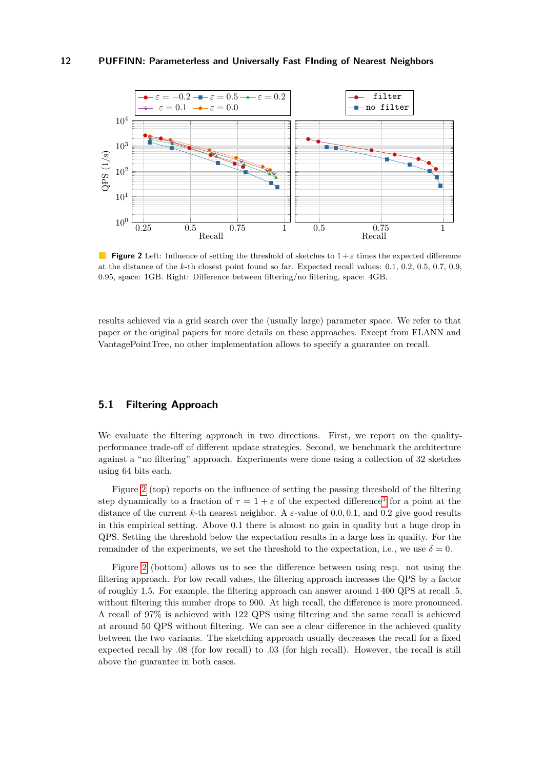<span id="page-11-1"></span>

**Figure 2** Left: Influence of setting the threshold of sketches to  $1 + \varepsilon$  times the expected difference at the distance of the *k*-th closest point found so far. Expected recall values: 0.1, 0.2, 0.5, 0.7, 0.9, 0.95, space: 1GB. Right: Difference between filtering/no filtering, space: 4GB.

results achieved via a grid search over the (usually large) parameter space. We refer to that paper or the original papers for more details on these approaches. Except from FLANN and VantagePointTree, no other implementation allows to specify a guarantee on recall.

# <span id="page-11-0"></span>**5.1 Filtering Approach**

We evaluate the filtering approach in two directions. First, we report on the qualityperformance trade-off of different update strategies. Second, we benchmark the architecture against a "no filtering" approach. Experiments were done using a collection of 32 sketches using 64 bits each.

Figure [2](#page-11-1) (top) reports on the influence of setting the passing threshold of the filtering step dynamically to a fraction of  $\tau = 1 + \varepsilon$  of the expected difference<sup>[3](#page-12-2)</sup> for a point at the distance of the current *k*-th nearest neighbor. A *ε*-value of 0*.*0*,* 0*.*1, and 0*.*2 give good results in this empirical setting. Above 0*.*1 there is almost no gain in quality but a huge drop in QPS. Setting the threshold below the expectation results in a large loss in quality. For the remainder of the experiments, we set the threshold to the expectation, i.e., we use  $\delta = 0$ .

Figure [2](#page-11-1) (bottom) allows us to see the difference between using resp. not using the filtering approach. For low recall values, the filtering approach increases the QPS by a factor of roughly 1.5. For example, the filtering approach can answer around 1 400 QPS at recall .5, without filtering this number drops to 900. At high recall, the difference is more pronounced. A recall of 97% is achieved with 122 QPS using filtering and the same recall is achieved at around 50 QPS without filtering. We can see a clear difference in the achieved quality between the two variants. The sketching approach usually decreases the recall for a fixed expected recall by .08 (for low recall) to .03 (for high recall). However, the recall is still above the guarantee in both cases.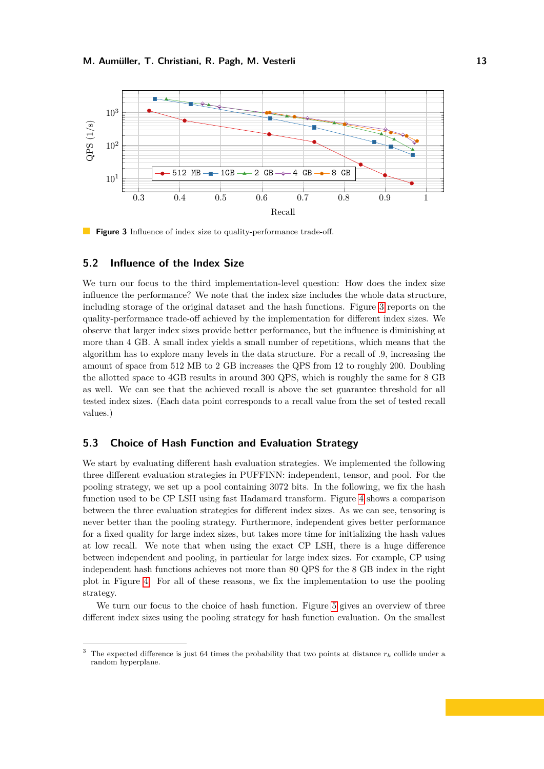<span id="page-12-3"></span>

**Figure 3** Influence of index size to quality-performance trade-off.

#### <span id="page-12-1"></span>**5.2 Influence of the Index Size**

We turn our focus to the third implementation-level question: How does the index size influence the performance? We note that the index size includes the whole data structure, including storage of the original dataset and the hash functions. Figure [3](#page-12-3) reports on the quality-performance trade-off achieved by the implementation for different index sizes. We observe that larger index sizes provide better performance, but the influence is diminishing at more than 4 GB. A small index yields a small number of repetitions, which means that the algorithm has to explore many levels in the data structure. For a recall of .9, increasing the amount of space from 512 MB to 2 GB increases the QPS from 12 to roughly 200. Doubling the allotted space to 4GB results in around 300 QPS, which is roughly the same for 8 GB as well. We can see that the achieved recall is above the set guarantee threshold for all tested index sizes. (Each data point corresponds to a recall value from the set of tested recall values.)

# <span id="page-12-0"></span>**5.3 Choice of Hash Function and Evaluation Strategy**

We start by evaluating different hash evaluation strategies. We implemented the following three different evaluation strategies in PUFFINN: independent, tensor, and pool. For the pooling strategy, we set up a pool containing 3072 bits. In the following, we fix the hash function used to be CP LSH using fast Hadamard transform. Figure [4](#page-13-1) shows a comparison between the three evaluation strategies for different index sizes. As we can see, tensoring is never better than the pooling strategy. Furthermore, independent gives better performance for a fixed quality for large index sizes, but takes more time for initializing the hash values at low recall. We note that when using the exact CP LSH, there is a huge difference between independent and pooling, in particular for large index sizes. For example, CP using independent hash functions achieves not more than 80 QPS for the 8 GB index in the right plot in Figure [4.](#page-13-1) For all of these reasons, we fix the implementation to use the pooling strategy.

We turn our focus to the choice of hash function. Figure [5](#page-13-2) gives an overview of three different index sizes using the pooling strategy for hash function evaluation. On the smallest

<span id="page-12-2"></span><sup>&</sup>lt;sup>3</sup> The expected difference is just 64 times the probability that two points at distance  $r_k$  collide under a random hyperplane.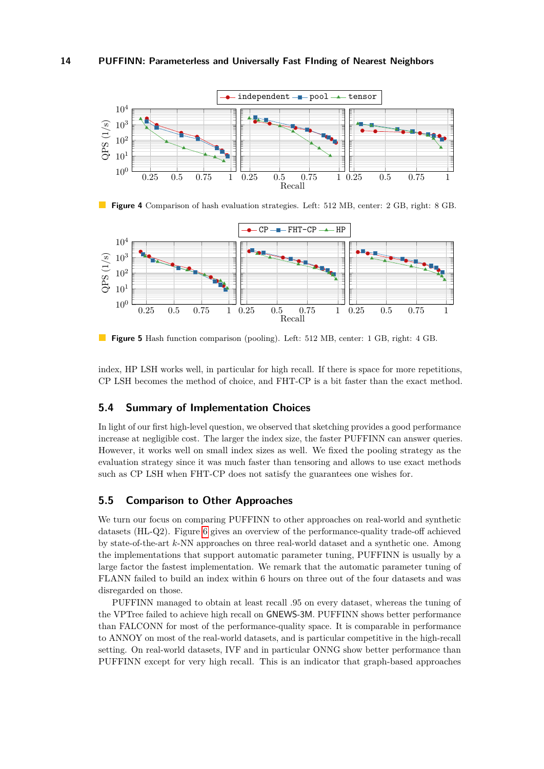<span id="page-13-1"></span>

**Figure 4** Comparison of hash evaluation strategies. Left: 512 MB, center: 2 GB, right: 8 GB.

<span id="page-13-2"></span>

**Figure 5** Hash function comparison (pooling). Left: 512 MB, center: 1 GB, right: 4 GB.

index, HP LSH works well, in particular for high recall. If there is space for more repetitions, CP LSH becomes the method of choice, and FHT-CP is a bit faster than the exact method.

# **5.4 Summary of Implementation Choices**

In light of our first high-level question, we observed that sketching provides a good performance increase at negligible cost. The larger the index size, the faster PUFFINN can answer queries. However, it works well on small index sizes as well. We fixed the pooling strategy as the evaluation strategy since it was much faster than tensoring and allows to use exact methods such as CP LSH when FHT-CP does not satisfy the guarantees one wishes for.

# <span id="page-13-0"></span>**5.5 Comparison to Other Approaches**

We turn our focus on comparing PUFFINN to other approaches on real-world and synthetic datasets (HL-Q2). Figure [6](#page-14-5) gives an overview of the performance-quality trade-off achieved by state-of-the-art *k*-NN approaches on three real-world dataset and a synthetic one. Among the implementations that support automatic parameter tuning, PUFFINN is usually by a large factor the fastest implementation. We remark that the automatic parameter tuning of FLANN failed to build an index within 6 hours on three out of the four datasets and was disregarded on those.

PUFFINN managed to obtain at least recall .95 on every dataset, whereas the tuning of the VPTree failed to achieve high recall on GNEWS-3M. PUFFINN shows better performance than FALCONN for most of the performance-quality space. It is comparable in performance to ANNOY on most of the real-world datasets, and is particular competitive in the high-recall setting. On real-world datasets, IVF and in particular ONNG show better performance than PUFFINN except for very high recall. This is an indicator that graph-based approaches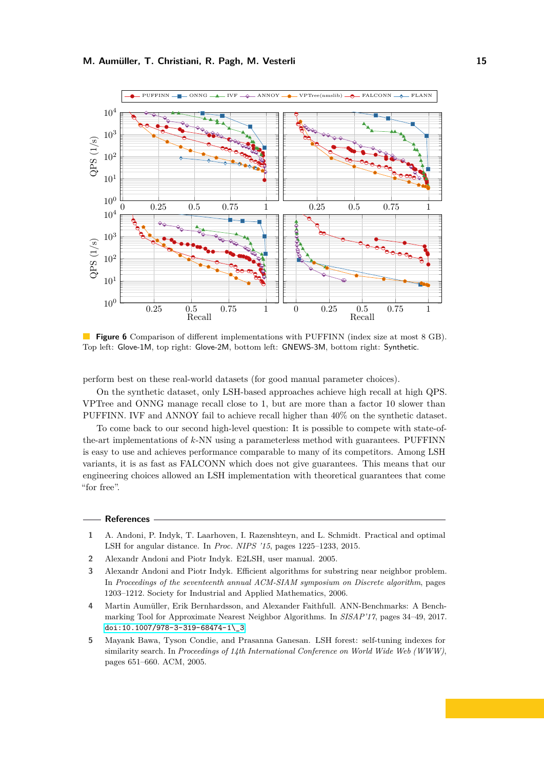<span id="page-14-5"></span>

**Figure 6** Comparison of different implementations with PUFFINN (index size at most 8 GB). Top left: Glove-1M, top right: Glove-2M, bottom left: GNEWS-3M, bottom right: Synthetic.

perform best on these real-world datasets (for good manual parameter choices).

On the synthetic dataset, only LSH-based approaches achieve high recall at high QPS. VPTree and ONNG manage recall close to 1, but are more than a factor 10 slower than PUFFINN. IVF and ANNOY fail to achieve recall higher than 40% on the synthetic dataset.

To come back to our second high-level question: It is possible to compete with state-ofthe-art implementations of *k*-NN using a parameterless method with guarantees. PUFFINN is easy to use and achieves performance comparable to many of its competitors. Among LSH variants, it is as fast as FALCONN which does not give guarantees. This means that our engineering choices allowed an LSH implementation with theoretical guarantees that come "for free".

#### **References**

- <span id="page-14-3"></span>**1** A. Andoni, P. Indyk, T. Laarhoven, I. Razenshteyn, and L. Schmidt. Practical and optimal LSH for angular distance. In *Proc. NIPS '15*, pages 1225–1233, 2015.
- <span id="page-14-2"></span>**2** Alexandr Andoni and Piotr Indyk. E2LSH, user manual. 2005.
- <span id="page-14-4"></span>**3** Alexandr Andoni and Piotr Indyk. Efficient algorithms for substring near neighbor problem. In *Proceedings of the seventeenth annual ACM-SIAM symposium on Discrete algorithm*, pages 1203–1212. Society for Industrial and Applied Mathematics, 2006.
- <span id="page-14-1"></span>**4** Martin Aumüller, Erik Bernhardsson, and Alexander Faithfull. ANN-Benchmarks: A Benchmarking Tool for Approximate Nearest Neighbor Algorithms. In *SISAP'17*, pages 34–49, 2017. [doi:10.1007/978-3-319-68474-1\\\_3](http://dx.doi.org/10.1007/978-3-319-68474-1_3).
- <span id="page-14-0"></span>**5** Mayank Bawa, Tyson Condie, and Prasanna Ganesan. LSH forest: self-tuning indexes for similarity search. In *Proceedings of 14th International Conference on World Wide Web (WWW)*, pages 651–660. ACM, 2005.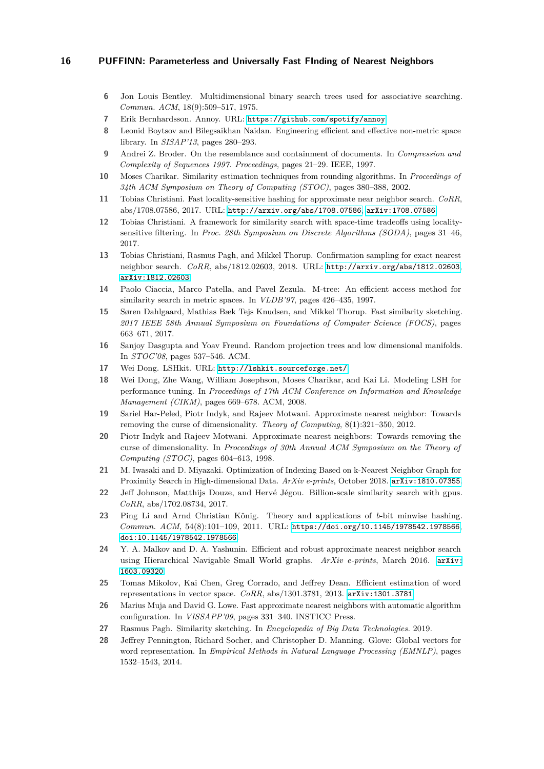- <span id="page-15-1"></span>**6** Jon Louis Bentley. Multidimensional binary search trees used for associative searching. *Commun. ACM*, 18(9):509–517, 1975.
- <span id="page-15-21"></span>**7** Erik Bernhardsson. Annoy. URL: <https://github.com/spotify/annoy>.
- <span id="page-15-14"></span>**8** Leonid Boytsov and Bilegsaikhan Naidan. Engineering efficient and effective non-metric space library. In *SISAP'13*, pages 280–293.
- <span id="page-15-18"></span>**9** Andrei Z. Broder. On the resemblance and containment of documents. In *Compression and Complexity of Sequences 1997. Proceedings*, pages 21–29. IEEE, 1997.
- <span id="page-15-9"></span>**10** Moses Charikar. Similarity estimation techniques from rounding algorithms. In *Proceedings of 34th ACM Symposium on Theory of Computing (STOC)*, pages 380–388, 2002.
- <span id="page-15-10"></span>**11** Tobias Christiani. Fast locality-sensitive hashing for approximate near neighbor search. *CoRR*, abs/1708.07586, 2017. URL: <http://arxiv.org/abs/1708.07586>, [arXiv:1708.07586](http://arxiv.org/abs/1708.07586).
- <span id="page-15-15"></span>**12** Tobias Christiani. A framework for similarity search with space-time tradeoffs using localitysensitive filtering. In *Proc. 28th Symposium on Discrete Algorithms (SODA)*, pages 31–46, 2017.
- <span id="page-15-16"></span>**13** Tobias Christiani, Rasmus Pagh, and Mikkel Thorup. Confirmation sampling for exact nearest neighbor search. *CoRR*, abs/1812.02603, 2018. URL: <http://arxiv.org/abs/1812.02603>, [arXiv:1812.02603](http://arxiv.org/abs/1812.02603).
- <span id="page-15-2"></span>**14** Paolo Ciaccia, Marco Patella, and Pavel Zezula. M-tree: An efficient access method for similarity search in metric spaces. In *VLDB'97*, pages 426–435, 1997.
- <span id="page-15-11"></span>**15** Søren Dahlgaard, Mathias Bæk Tejs Knudsen, and Mikkel Thorup. Fast similarity sketching. *2017 IEEE 58th Annual Symposium on Foundations of Computer Science (FOCS)*, pages 663–671, 2017.
- <span id="page-15-3"></span>**16** Sanjoy Dasgupta and Yoav Freund. Random projection trees and low dimensional manifolds. In *STOC'08*, pages 537–546. ACM.
- <span id="page-15-8"></span>**17** Wei Dong. LSHkit. URL: <http://lshkit.sourceforge.net/>.
- <span id="page-15-0"></span>**18** Wei Dong, Zhe Wang, William Josephson, Moses Charikar, and Kai Li. Modeling LSH for performance tuning. In *Proceedings of 17th ACM Conference on Information and Knowledge Management (CIKM)*, pages 669–678. ACM, 2008.
- <span id="page-15-7"></span>**19** Sariel Har-Peled, Piotr Indyk, and Rajeev Motwani. Approximate nearest neighbor: Towards removing the curse of dimensionality. *Theory of Computing*, 8(1):321–350, 2012.
- <span id="page-15-6"></span>**20** Piotr Indyk and Rajeev Motwani. Approximate nearest neighbors: Towards removing the curse of dimensionality. In *Proceedings of 30th Annual ACM Symposium on the Theory of Computing (STOC)*, pages 604–613, 1998.
- <span id="page-15-5"></span>**21** M. Iwasaki and D. Miyazaki. Optimization of Indexing Based on k-Nearest Neighbor Graph for Proximity Search in High-dimensional Data. *ArXiv e-prints*, October 2018. [arXiv:1810.07355](http://arxiv.org/abs/1810.07355).
- <span id="page-15-22"></span>**22** Jeff Johnson, Matthijs Douze, and Hervé Jégou. Billion-scale similarity search with gpus. *CoRR*, abs/1702.08734, 2017.
- <span id="page-15-17"></span>**23** Ping Li and Arnd Christian König. Theory and applications of *b*-bit minwise hashing. *Commun. ACM*, 54(8):101–109, 2011. URL: <https://doi.org/10.1145/1978542.1978566>, [doi:10.1145/1978542.1978566](http://dx.doi.org/10.1145/1978542.1978566).
- <span id="page-15-4"></span>**24** Y. A. Malkov and D. A. Yashunin. Efficient and robust approximate nearest neighbor search using Hierarchical Navigable Small World graphs. *ArXiv e-prints*, March 2016. [arXiv:](http://arxiv.org/abs/1603.09320) [1603.09320](http://arxiv.org/abs/1603.09320).
- <span id="page-15-20"></span>**25** Tomas Mikolov, Kai Chen, Greg Corrado, and Jeffrey Dean. Efficient estimation of word representations in vector space. *CoRR*, abs/1301.3781, 2013. [arXiv:1301.3781](http://arxiv.org/abs/1301.3781).
- <span id="page-15-13"></span>**26** Marius Muja and David G. Lowe. Fast approximate nearest neighbors with automatic algorithm configuration. In *VISSAPP'09*, pages 331–340. INSTICC Press.
- <span id="page-15-12"></span>**27** Rasmus Pagh. Similarity sketching. In *Encyclopedia of Big Data Technologies.* 2019.
- <span id="page-15-19"></span>**28** Jeffrey Pennington, Richard Socher, and Christopher D. Manning. Glove: Global vectors for word representation. In *Empirical Methods in Natural Language Processing (EMNLP)*, pages 1532–1543, 2014.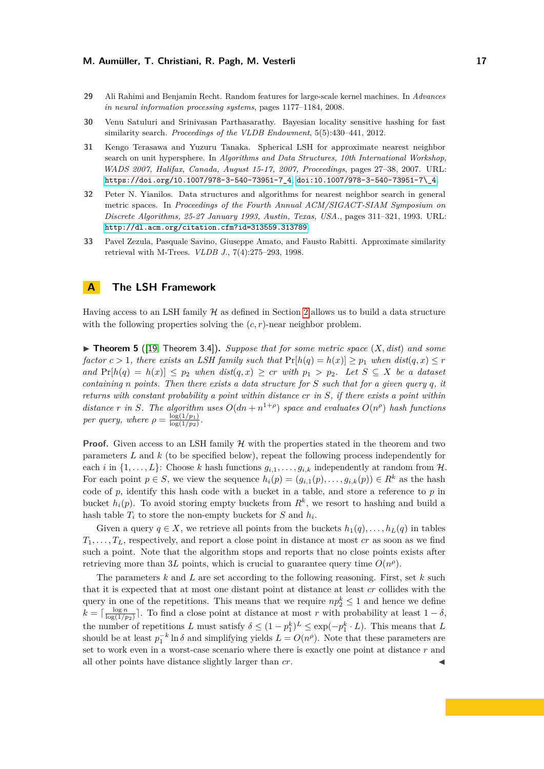- <span id="page-16-2"></span>**29** Ali Rahimi and Benjamin Recht. Random features for large-scale kernel machines. In *Advances in neural information processing systems*, pages 1177–1184, 2008.
- <span id="page-16-4"></span>**30** Venu Satuluri and Srinivasan Parthasarathy. Bayesian locality sensitive hashing for fast similarity search. *Proceedings of the VLDB Endowment*, 5(5):430–441, 2012.
- <span id="page-16-3"></span>**31** Kengo Terasawa and Yuzuru Tanaka. Spherical LSH for approximate nearest neighbor search on unit hypersphere. In *Algorithms and Data Structures, 10th International Workshop, WADS 2007, Halifax, Canada, August 15-17, 2007, Proceedings*, pages 27–38, 2007. URL: [https://doi.org/10.1007/978-3-540-73951-7\\_4](https://doi.org/10.1007/978-3-540-73951-7_4), [doi:10.1007/978-3-540-73951-7\\\_4](http://dx.doi.org/10.1007/978-3-540-73951-7_4).
- <span id="page-16-5"></span>**32** Peter N. Yianilos. Data structures and algorithms for nearest neighbor search in general metric spaces. In *Proceedings of the Fourth Annual ACM/SIGACT-SIAM Symposium on Discrete Algorithms, 25-27 January 1993, Austin, Texas, USA.*, pages 311–321, 1993. URL: <http://dl.acm.org/citation.cfm?id=313559.313789>.
- <span id="page-16-0"></span>**33** Pavel Zezula, Pasquale Savino, Giuseppe Amato, and Fausto Rabitti. Approximate similarity retrieval with M-Trees. *VLDB J.*, 7(4):275–293, 1998.

# <span id="page-16-1"></span>**A The LSH Framework**

Having access to an LSH family  $H$  as defined in Section [2](#page-3-1) allows us to build a data structure with the following properties solving the  $(c, r)$ -near neighbor problem.

 $\blacktriangleright$  **Theorem 5** ([\[19,](#page-15-7) Theorem 3.4]), *Suppose that for some metric space*  $(X, dist)$  *and some factor*  $c > 1$ *, there exists an LSH family such that*  $Pr[h(q) = h(x)] \geq p_1$  *when*  $dist(q, x) \leq r$ *and* Pr[*h*(*q*) = *h*(*x*)] ≤ *p*<sup>2</sup> *when dist*(*q, x*) ≥ *cr with p*<sup>1</sup> *> p*2*. Let S* ⊆ *X be a dataset containing n points. Then there exists a data structure for S such that for a given query q, it returns with constant probability a point within distance cr in S, if there exists a point within distance r in S*. The algorithm uses  $O(dn + n^{1+\rho})$  space and evaluates  $O(n^{\rho})$  hash functions *per query, where*  $\rho = \frac{\log(1/p_1)}{\log(1/p_2)}$  $\frac{\log(1/p_1)}{\log(1/p_2)}$ .

**Proof.** Given access to an LSH family  $H$  with the properties stated in the theorem and two parameters *L* and *k* (to be specified below), repeat the following process independently for each *i* in  $\{1, \ldots, L\}$ : Choose *k* hash functions  $g_{i,1}, \ldots, g_{i,k}$  independently at random from H. For each point  $p \in S$ , we view the sequence  $h_i(p) = (g_{i,1}(p), \ldots, g_{i,k}(p)) \in R^k$  as the hash code of *p*, identify this hash code with a bucket in a table, and store a reference to *p* in bucket  $h_i(p)$ . To avoid storing empty buckets from  $R^k$ , we resort to hashing and build a hash table  $T_i$  to store the non-empty buckets for  $S$  and  $h_i$ .

Given a query  $q \in X$ , we retrieve all points from the buckets  $h_1(q), \ldots, h_L(q)$  in tables  $T_1, \ldots, T_L$ , respectively, and report a close point in distance at most *cr* as soon as we find such a point. Note that the algorithm stops and reports that no close points exists after retrieving more than 3L points, which is crucial to guarantee query time  $O(n^{\rho})$ .

The parameters *k* and *L* are set according to the following reasoning. First, set *k* such that it is expected that at most one distant point at distance at least *cr* collides with the query in one of the repetitions. This means that we require  $np_2^k \leq 1$  and hence we define  $k = \lceil \frac{\log n}{\log(1/p_2)} \rceil$ . To find a close point at distance at most *r* with probability at least  $1 - \delta$ , the number of repetitions *L* must satisfy  $\delta \leq (1 - p_1^k)^L \leq \exp(-p_1^k \cdot L)$ . This means that *L* should be at least  $p_1^{-k} \ln \delta$  and simplifying yields  $L = O(n^{\rho})$ . Note that these parameters are set to work even in a worst-case scenario where there is exactly one point at distance *r* and all other points have distance slightly larger than  $cr$ .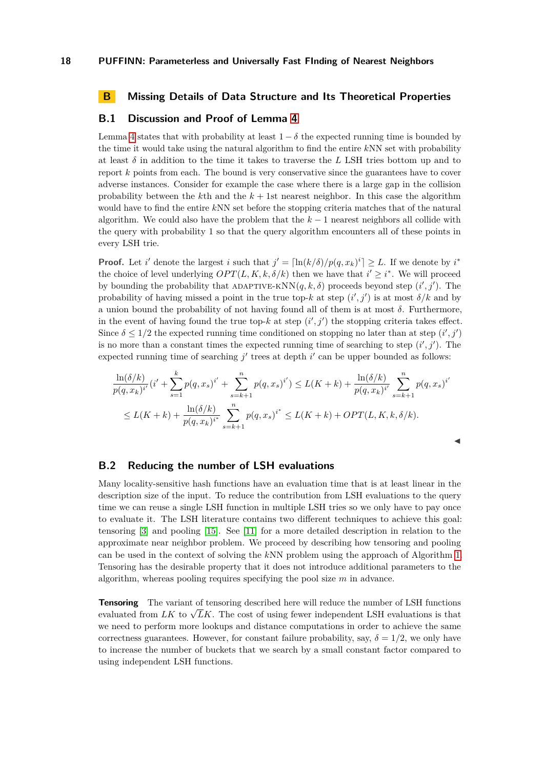# <span id="page-17-0"></span>**B Missing Details of Data Structure and Its Theoretical Properties**

## **B.1 Discussion and Proof of Lemma [4](#page-6-0)**

Lemma [4](#page-6-0) states that with probability at least  $1 - \delta$  the expected running time is bounded by the time it would take using the natural algorithm to find the entire *k*NN set with probability at least  $\delta$  in addition to the time it takes to traverse the *L* LSH tries bottom up and to report *k* points from each. The bound is very conservative since the guarantees have to cover adverse instances. Consider for example the case where there is a large gap in the collision probability between the  $k$ <sup>th</sup> and the  $k + 1$ st nearest neighbor. In this case the algorithm would have to find the entire *k*NN set before the stopping criteria matches that of the natural algorithm. We could also have the problem that the *k* − 1 nearest neighbors all collide with the query with probability 1 so that the query algorithm encounters all of these points in every LSH trie.

**Proof.** Let *i*' denote the largest *i* such that  $j' = \left[\ln(k/\delta)/p(q, x_k)^i\right] \geq L$ . If we denote by *i*<sup>\*</sup> the choice of level underlying  $OPT(L, K, k, \delta/k)$  then we have that  $i' \geq i^*$ . We will proceed by bounding the probability that ADAPTIVE-KNN $(q, k, \delta)$  proceeds beyond step  $(i', j')$ . The probability of having missed a point in the true top- $k$  at step  $(i', j')$  is at most  $\delta/k$  and by a union bound the probability of not having found all of them is at most *δ*. Furthermore, in the event of having found the true top- $k$  at step  $(i', j')$  the stopping criteria takes effect. Since  $\delta \leq 1/2$  the expected running time conditioned on stopping no later than at step  $(i', j')$ is no more than a constant times the expected running time of searching to step  $(i', j')$ . The expected running time of searching  $j'$  trees at depth  $i'$  can be upper bounded as follows:

$$
\frac{\ln(\delta/k)}{p(q, x_k)^{i'}}(i' + \sum_{s=1}^k p(q, x_s)^{i'} + \sum_{s=k+1}^n p(q, x_s)^{i'}) \le L(K+k) + \frac{\ln(\delta/k)}{p(q, x_k)^{i'}} \sum_{s=k+1}^n p(q, x_s)^{i'}
$$
  

$$
\le L(K+k) + \frac{\ln(\delta/k)}{p(q, x_k)^{i^*}} \sum_{s=k+1}^n p(q, x_s)^{i^*} \le L(K+k) + OPT(L, K, k, \delta/k).
$$

J

#### **B.2 Reducing the number of LSH evaluations**

Many locality-sensitive hash functions have an evaluation time that is at least linear in the description size of the input. To reduce the contribution from LSH evaluations to the query time we can reuse a single LSH function in multiple LSH tries so we only have to pay once to evaluate it. The LSH literature contains two different techniques to achieve this goal: tensoring [\[3\]](#page-14-4) and pooling [\[15\]](#page-15-11). See [\[11\]](#page-15-10) for a more detailed description in relation to the approximate near neighbor problem. We proceed by describing how tensoring and pooling can be used in the context of solving the *k*NN problem using the approach of Algorithm [1.](#page-5-0) Tensoring has the desirable property that it does not introduce additional parameters to the algorithm, whereas pooling requires specifying the pool size *m* in advance.

**Tensoring** The variant of tensoring described here will reduce the number of LSH functions **Fensoning** The variant of tensoring described here will reduce the number of ESH functions evaluated from  $LK$  to  $\sqrt{LK}$ . The cost of using fewer independent LSH evaluations is that we need to perform more lookups and distance computations in order to achieve the same correctness guarantees. However, for constant failure probability, say,  $\delta = 1/2$ , we only have to increase the number of buckets that we search by a small constant factor compared to using independent LSH functions.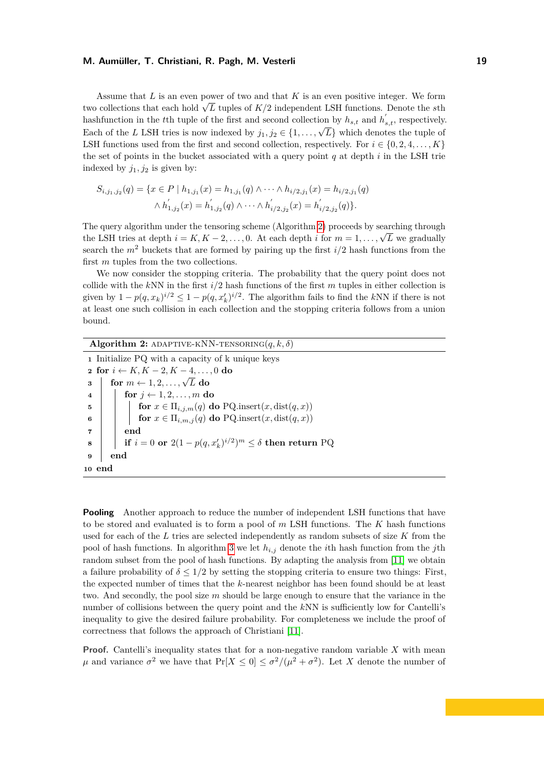Assume that *L* is an even power of two and that *K* is an even positive integer. We form Assume that *L* is an even power of two and that *K* is an even positive integer. We form two collections that each hold  $\sqrt{L}$  tuples of *K/2* independent LSH functions. Denote the *s*th hashfunction in the *t*<sup>th</sup> tuple of the first and second collection by  $h_{s,t}$  and  $h'_{s,t}$ , respectively. Each of the *L* LSH tries is now indexed by  $j_1, j_2 \in \{1, \ldots, \sqrt{L}\}\$  which denotes the tuple of LSH functions used from the first and second collection, respectively. For  $i \in \{0, 2, 4, \ldots, K\}$ the set of points in the bucket associated with a query point *q* at depth *i* in the LSH trie indexed by  $j_1, j_2$  is given by:

$$
S_{i,j_1,j_2}(q) = \{x \in P \mid h_{1,j_1}(x) = h_{1,j_1}(q) \land \cdots \land h_{i/2,j_1}(x) = h_{i/2,j_1}(q) \land \cdots \land h'_{1,j_2}(x) = h'_{1,j_2}(q) \land \cdots \land h'_{i/2,j_2}(x) = h'_{i/2,j_2}(q)\}.
$$

The query algorithm under the tensoring scheme (Algorithm [2\)](#page-18-0) proceeds by searching through the LSH tries at depth  $i = K, K - 2, \ldots, 0$ . At each depth *i* for  $m = 1, \ldots, \sqrt{L}$  we gradually search the  $m^2$  buckets that are formed by pairing up the first  $i/2$  hash functions from the first *m* tuples from the two collections.

We now consider the stopping criteria. The probability that the query point does not collide with the *k*NN in the first *i/*2 hash functions of the first *m* tuples in either collection is given by  $1 - p(q, x_k)^{i/2} \leq 1 - p(q, x'_k)^{i/2}$ . The algorithm fails to find the *kNN* if there is not at least one such collision in each collection and the stopping criteria follows from a union bound.

# **Algorithm 2:** ADAPTIVE-KNN-TENSORING $(q, k, \delta)$

**<sup>1</sup>** Initialize PQ with a capacity of k unique keys **<sup>2</sup> for** *i* ← *K, K* − 2*, K* − 4*, . . . ,* 0 **do**  $\begin{array}{l} \mathbf{2} \text{ for } i \leftarrow \mathbf{R}, \mathbf{R} - 2, \mathbf{R} - 4, \ldots \\ \mathbf{3} \text{ } & \text{for } m \leftarrow 1, 2, \ldots, \sqrt{L} \text{ do} \end{array}$ **4 for**  $j \leftarrow 1, 2, ..., m$  **do 5 for**  $x \in \Pi_{i,j,m}(q)$  **do** PQ.insert $(x, dist(q, x))$ **6 for**  $x \in \Pi_{i,m,j}(q)$  **do** PQ.insert $(x, dist(q, x))$ **<sup>7</sup> end**  $\textbf{s} \quad | \quad \textbf{if} \, \, i = 0 \, \, \textbf{or} \, \, 2(1 - p(q, x_k')^{i/2})^m \leq \delta \, \, \textbf{then} \, \, \textbf{return} \, \, \text{PQ}$ **<sup>9</sup> end <sup>10</sup> end**

<span id="page-18-0"></span>**Pooling** Another approach to reduce the number of independent LSH functions that have to be stored and evaluated is to form a pool of *m* LSH functions. The *K* hash functions used for each of the *L* tries are selected independently as random subsets of size *K* from the pool of hash functions. In algorithm [3](#page-19-1) we let *hi,j* denote the *i*th hash function from the *j*th random subset from the pool of hash functions. By adapting the analysis from [\[11\]](#page-15-10) we obtain a failure probability of  $\delta \leq 1/2$  by setting the stopping criteria to ensure two things: First, the expected number of times that the *k*-nearest neighbor has been found should be at least two. And secondly, the pool size *m* should be large enough to ensure that the variance in the number of collisions between the query point and the *k*NN is sufficiently low for Cantelli's inequality to give the desired failure probability. For completeness we include the proof of correctness that follows the approach of Christiani [\[11\]](#page-15-10).

**Proof.** Cantelli's inequality states that for a non-negative random variable *X* with mean *μ* and variance  $\sigma^2$  we have that  $Pr[X \le 0] \le \sigma^2/(\mu^2 + \sigma^2)$ . Let *X* denote the number of